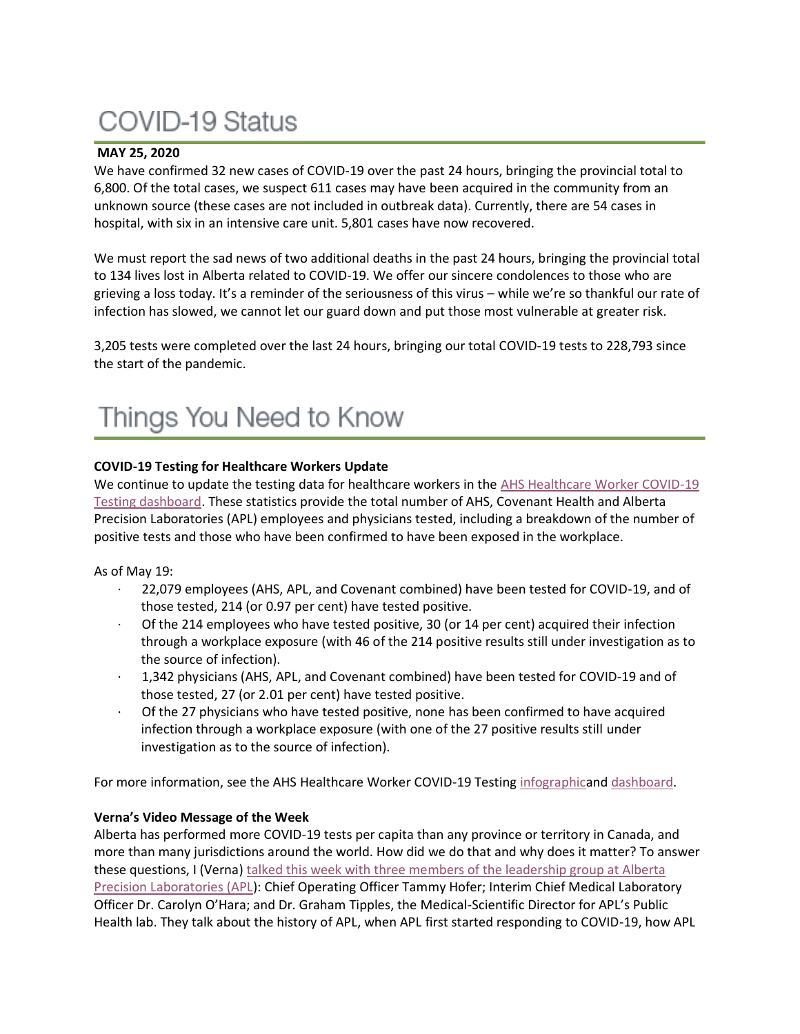# COVID-19 Status

# **MAY 25, 2020**

We have confirmed 32 new cases of COVID-19 over the past 24 hours, bringing the provincial total to 6,800. Of the total cases, we suspect 611 cases may have been acquired in the community from an unknown source (these cases are not included in outbreak data). Currently, there are 54 cases in hospital, with six in an intensive care unit. 5,801 cases have now recovered.

We must report the sad news of two additional deaths in the past 24 hours, bringing the provincial total to 134 lives lost in Alberta related to COVID-19. We offer our sincere condolences to those who are grieving a loss today. It's a reminder of the seriousness of this virus – while we're so thankful our rate of infection has slowed, we cannot let our guard down and put those most vulnerable at greater risk.

3,205 tests were completed over the last 24 hours, bringing our total COVID-19 tests to 228,793 since the start of the pandemic.

# **COVID-19 Testing for Healthcare Workers Update**

We continue to update the testing data for healthcare workers in the AHS Healthcare Worker COVID-19 [Testing dashboard.](https://tableau.albertahealthservices.ca/#/views/AHSEmployeePhysicianCOVID-19TestSurveillanceDashboard/Introduction?:iid=1) These statistics provide the total number of AHS, Covenant Health and Alberta Precision Laboratories (APL) employees and physicians tested, including a breakdown of the number of positive tests and those who have been confirmed to have been exposed in the workplace.

As of May 19:

- · 22,079 employees (AHS, APL, and Covenant combined) have been tested for COVID-19, and of those tested, 214 (or 0.97 per cent) have tested positive.
- Of the 214 employees who have tested positive, 30 (or 14 per cent) acquired their infection through a workplace exposure (with 46 of the 214 positive results still under investigation as to the source of infection).
- · 1,342 physicians (AHS, APL, and Covenant combined) have been tested for COVID-19 and of those tested, 27 (or 2.01 per cent) have tested positive.
- · Of the 27 physicians who have tested positive, none has been confirmed to have acquired infection through a workplace exposure (with one of the 27 positive results still under investigation as to the source of infection).

For more information, see the AHS Healthcare Worker COVID-19 Testing [infographica](https://insite.albertahealthservices.ca/main/assets/tls/ep/tls-ep-covid-19-healthcare-worker-testing-infographic.pdf)nd [dashboard.](https://tableau.albertahealthservices.ca/#/views/AHSEmployeePhysicianCOVID-19TestSurveillanceDashboard/Introduction?:iid=1)

# **Verna's Video Message of the Week**

Alberta has performed more COVID-19 tests per capita than any province or territory in Canada, and more than many jurisdictions around the world. How did we do that and why does it matter? To answer these questions, I (Verna) [talked this week with three members of the leadership group at Alberta](https://www.albertahealthservices.ca/Blogs/ceo/272.aspx#.XsiDachKiUk)  [Precision Laboratories \(APL\)](https://www.albertahealthservices.ca/Blogs/ceo/272.aspx#.XsiDachKiUk): Chief Operating Officer Tammy Hofer; Interim Chief Medical Laboratory Officer Dr. Carolyn O'Hara; and Dr. Graham Tipples, the Medical-Scientific Director for APL's Public Health lab. They talk about the history of APL, when APL first started responding to COVID-19, how APL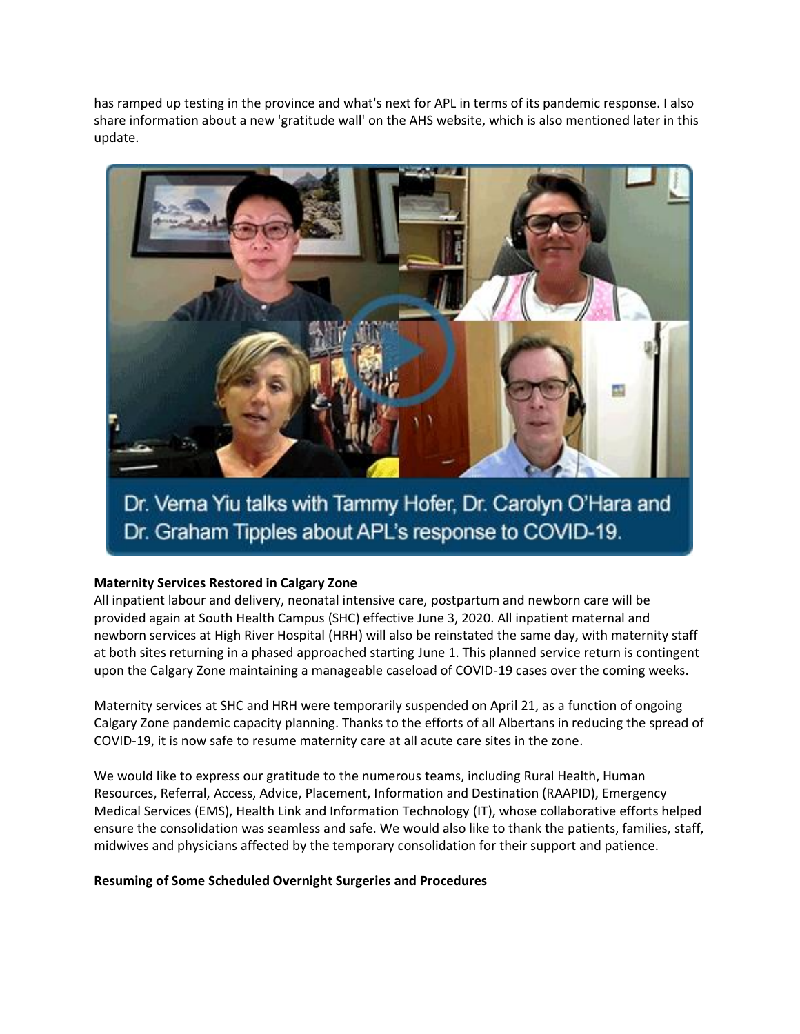has ramped up testing in the province and what's next for APL in terms of its pandemic response. I also share information about a new 'gratitude wall' on the AHS website, which is also mentioned later in this update.



Dr. Verna Yiu talks with Tammy Hofer, Dr. Carolyn O'Hara and Dr. Graham Tipples about APL's response to COVID-19.

# **Maternity Services Restored in Calgary Zone**

All inpatient labour and delivery, neonatal intensive care, postpartum and newborn care will be provided again at South Health Campus (SHC) effective June 3, 2020. All inpatient maternal and newborn services at High River Hospital (HRH) will also be reinstated the same day, with maternity staff at both sites returning in a phased approached starting June 1. This planned service return is contingent upon the Calgary Zone maintaining a manageable caseload of COVID-19 cases over the coming weeks.

Maternity services at SHC and HRH were temporarily suspended on April 21, as a function of ongoing Calgary Zone pandemic capacity planning. Thanks to the efforts of all Albertans in reducing the spread of COVID-19, it is now safe to resume maternity care at all acute care sites in the zone.

We would like to express our gratitude to the numerous teams, including Rural Health, Human Resources, Referral, Access, Advice, Placement, Information and Destination (RAAPID), Emergency Medical Services (EMS), Health Link and Information Technology (IT), whose collaborative efforts helped ensure the consolidation was seamless and safe. We would also like to thank the patients, families, staff, midwives and physicians affected by the temporary consolidation for their support and patience.

#### **Resuming of Some Scheduled Overnight Surgeries and Procedures**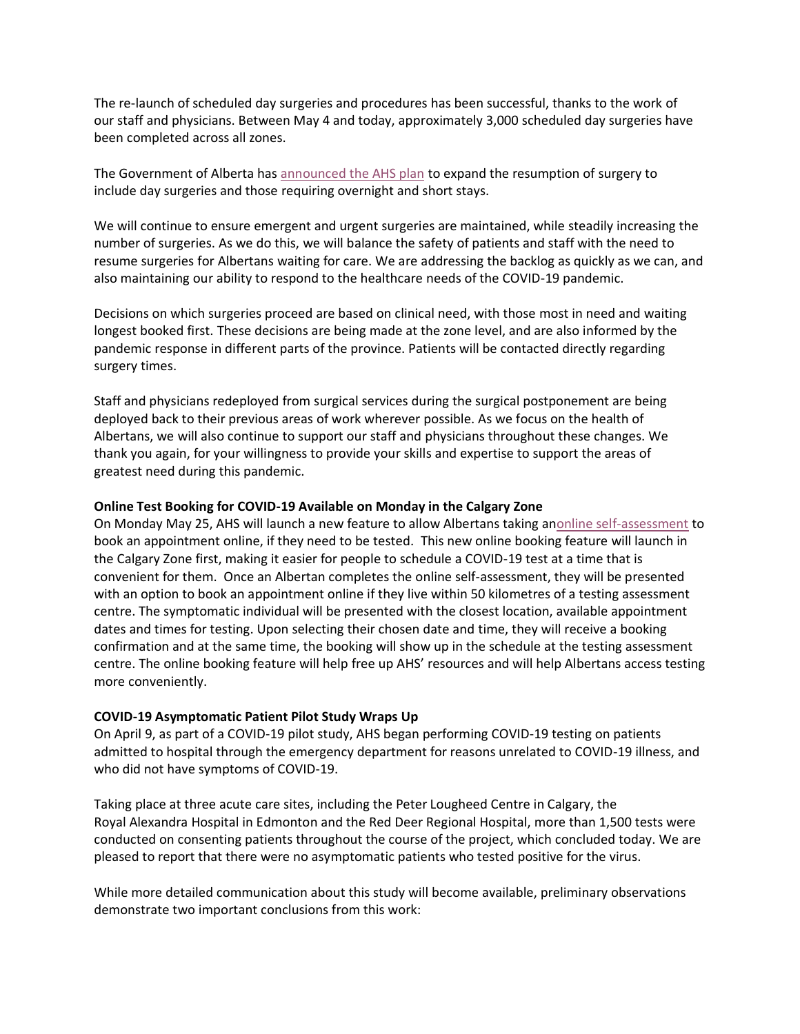The re-launch of scheduled day surgeries and procedures has been successful, thanks to the work of our staff and physicians. Between May 4 and today, approximately 3,000 scheduled day surgeries have been completed across all zones.

The Government of Alberta has [announced the AHS plan](https://www.alberta.ca/release.cfm?xID=71257CF84CA12-B538-BABF-0BD80F6B0D51DF28) to expand the resumption of surgery to include day surgeries and those requiring overnight and short stays.

We will continue to ensure emergent and urgent surgeries are maintained, while steadily increasing the number of surgeries. As we do this, we will balance the safety of patients and staff with the need to resume surgeries for Albertans waiting for care. We are addressing the backlog as quickly as we can, and also maintaining our ability to respond to the healthcare needs of the COVID-19 pandemic.

Decisions on which surgeries proceed are based on clinical need, with those most in need and waiting longest booked first. These decisions are being made at the zone level, and are also informed by the pandemic response in different parts of the province. Patients will be contacted directly regarding surgery times.

Staff and physicians redeployed from surgical services during the surgical postponement are being deployed back to their previous areas of work wherever possible. As we focus on the health of Albertans, we will also continue to support our staff and physicians throughout these changes. We thank you again, for your willingness to provide your skills and expertise to support the areas of greatest need during this pandemic.

### **Online Test Booking for COVID-19 Available on Monday in the Calgary Zone**

On Monday May 25, AHS will launch a new feature to allow Albertans taking a[nonline self-assessment](https://myhealth.alberta.ca/Journey/COVID-19/Pages/COVID-Self-Assessment.aspx) to book an appointment online, if they need to be tested. This new online booking feature will launch in the Calgary Zone first, making it easier for people to schedule a COVID-19 test at a time that is convenient for them. Once an Albertan completes the online self-assessment, they will be presented with an option to book an appointment online if they live within 50 kilometres of a testing assessment centre. The symptomatic individual will be presented with the closest location, available appointment dates and times for testing. Upon selecting their chosen date and time, they will receive a booking confirmation and at the same time, the booking will show up in the schedule at the testing assessment centre. The online booking feature will help free up AHS' resources and will help Albertans access testing more conveniently.

# **COVID-19 Asymptomatic Patient Pilot Study Wraps Up**

On April 9, as part of a COVID-19 pilot study, AHS began performing COVID-19 testing on patients admitted to hospital through the emergency department for reasons unrelated to COVID-19 illness, and who did not have symptoms of COVID-19.

Taking place at three acute care sites, including the Peter Lougheed Centre in Calgary, the Royal Alexandra Hospital in Edmonton and the Red Deer Regional Hospital, more than 1,500 tests were conducted on consenting patients throughout the course of the project, which concluded today. We are pleased to report that there were no asymptomatic patients who tested positive for the virus.

While more detailed communication about this study will become available, preliminary observations demonstrate two important conclusions from this work: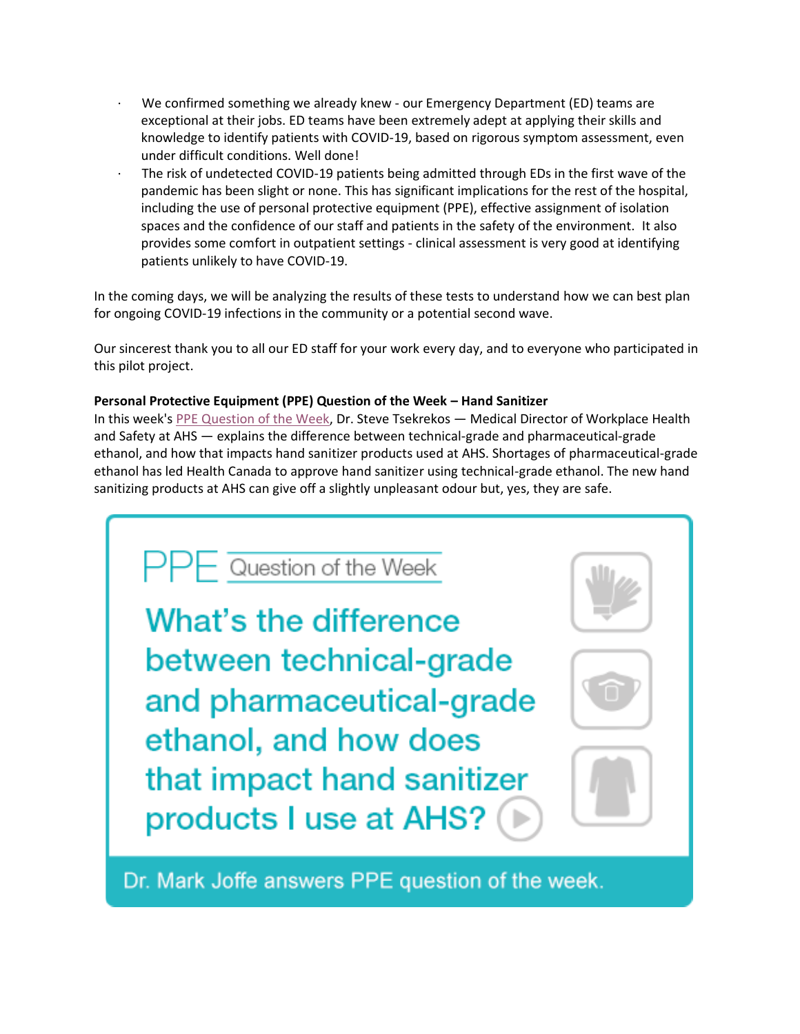- We confirmed something we already knew our Emergency Department (ED) teams are exceptional at their jobs. ED teams have been extremely adept at applying their skills and knowledge to identify patients with COVID-19, based on rigorous symptom assessment, even under difficult conditions. Well done!
- The risk of undetected COVID-19 patients being admitted through EDs in the first wave of the pandemic has been slight or none. This has significant implications for the rest of the hospital, including the use of personal protective equipment (PPE), effective assignment of isolation spaces and the confidence of our staff and patients in the safety of the environment. It also provides some comfort in outpatient settings - clinical assessment is very good at identifying patients unlikely to have COVID-19.

In the coming days, we will be analyzing the results of these tests to understand how we can best plan for ongoing COVID-19 infections in the community or a potential second wave.

Our sincerest thank you to all our ED staff for your work every day, and to everyone who participated in this pilot project.

# **Personal Protective Equipment (PPE) Question of the Week – Hand Sanitizer**

In this week's [PPE Question of the Week,](https://www.albertahealthservices.ca/topics/Page17119.aspx#ppedodont) Dr. Steve Tsekrekos — Medical Director of Workplace Health and Safety at AHS — explains the difference between technical-grade and pharmaceutical-grade ethanol, and how that impacts hand sanitizer products used at AHS. Shortages of pharmaceutical-grade ethanol has led Health Canada to approve hand sanitizer using technical-grade ethanol. The new hand sanitizing products at AHS can give off a slightly unpleasant odour but, yes, they are safe.

 $\mathsf{PPF}$  Question of the Week What's the difference between technical-grade and pharmaceutical-grade ethanol, and how does that impact hand sanitizer products I use at AHS?

Dr. Mark Joffe answers PPE question of the week.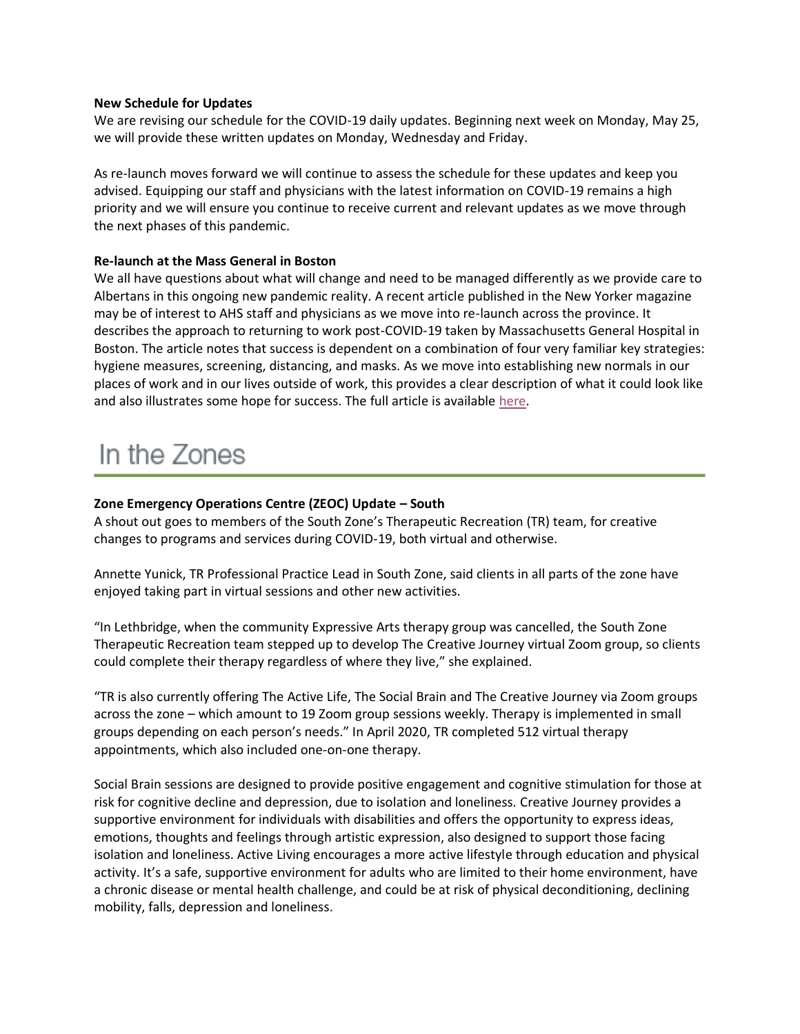#### **New Schedule for Updates**

We are revising our schedule for the COVID-19 daily updates. Beginning next week on Monday, May 25, we will provide these written updates on Monday, Wednesday and Friday.

As re-launch moves forward we will continue to assess the schedule for these updates and keep you advised. Equipping our staff and physicians with the latest information on COVID-19 remains a high priority and we will ensure you continue to receive current and relevant updates as we move through the next phases of this pandemic.

### **Re-launch at the Mass General in Boston**

We all have questions about what will change and need to be managed differently as we provide care to Albertans in this ongoing new pandemic reality. A recent article published in the New Yorker magazine may be of interest to AHS staff and physicians as we move into re-launch across the province. It describes the approach to returning to work post-COVID-19 taken by Massachusetts General Hospital in Boston. The article notes that success is dependent on a combination of four very familiar key strategies: hygiene measures, screening, distancing, and masks. As we move into establishing new normals in our places of work and in our lives outside of work, this provides a clear description of what it could look like and also illustrates some hope for success. The full article is available [here.](https://www.newyorker.com/science/medical-dispatch/amid-the-coronavirus-crisis-a-regimen-for-reentry?utm_source=facebook&utm_medium=social&utm_campaign=onsite-share&utm_brand=the-new-yorker&utm_social-type=earned)

# In the Zones

# **Zone Emergency Operations Centre (ZEOC) Update – South**

A shout out goes to members of the South Zone's Therapeutic Recreation (TR) team, for creative changes to programs and services during COVID-19, both virtual and otherwise.

Annette Yunick, TR Professional Practice Lead in South Zone, said clients in all parts of the zone have enjoyed taking part in virtual sessions and other new activities.

"In Lethbridge, when the community Expressive Arts therapy group was cancelled, the South Zone Therapeutic Recreation team stepped up to develop The Creative Journey virtual Zoom group, so clients could complete their therapy regardless of where they live," she explained.

"TR is also currently offering The Active Life, The Social Brain and The Creative Journey via Zoom groups across the zone – which amount to 19 Zoom group sessions weekly. Therapy is implemented in small groups depending on each person's needs." In April 2020, TR completed 512 virtual therapy appointments, which also included one-on-one therapy.

Social Brain sessions are designed to provide positive engagement and cognitive stimulation for those at risk for cognitive decline and depression, due to isolation and loneliness. Creative Journey provides a supportive environment for individuals with disabilities and offers the opportunity to express ideas, emotions, thoughts and feelings through artistic expression, also designed to support those facing isolation and loneliness. Active Living encourages a more active lifestyle through education and physical activity. It's a safe, supportive environment for adults who are limited to their home environment, have a chronic disease or mental health challenge, and could be at risk of physical deconditioning, declining mobility, falls, depression and loneliness.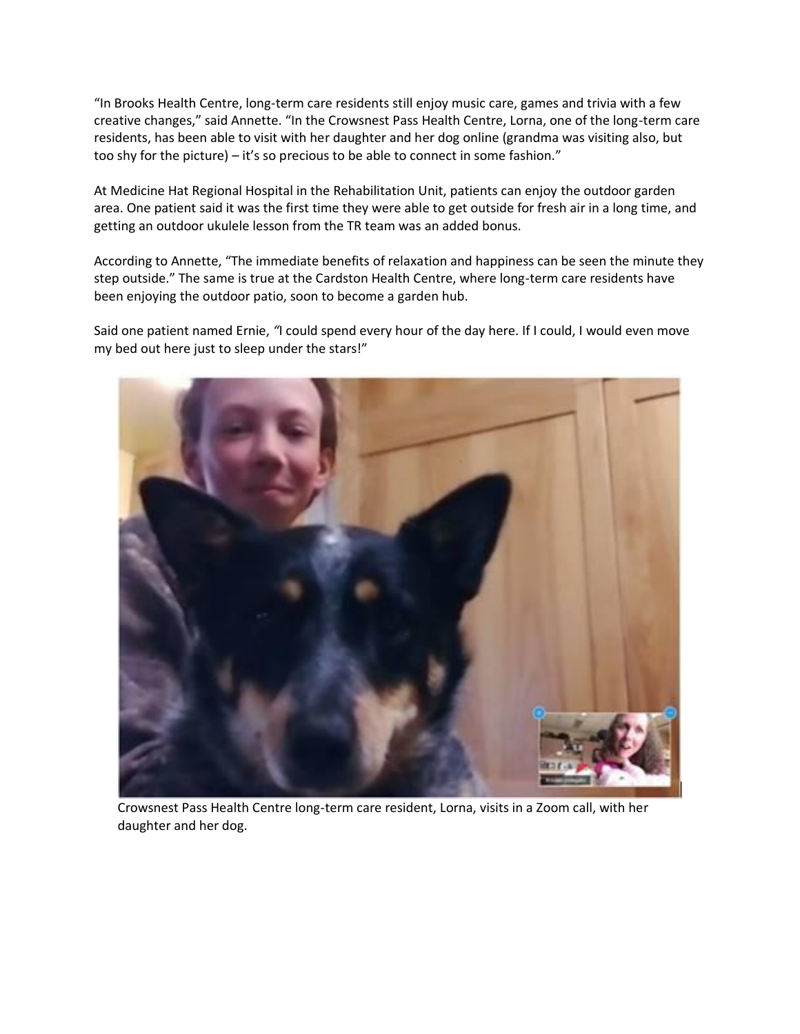"In Brooks Health Centre, long-term care residents still enjoy music care, games and trivia with a few creative changes," said Annette. "In the Crowsnest Pass Health Centre, Lorna, one of the long-term care residents, has been able to visit with her daughter and her dog online (grandma was visiting also, but too shy for the picture) – it's so precious to be able to connect in some fashion."

At Medicine Hat Regional Hospital in the Rehabilitation Unit, patients can enjoy the outdoor garden area. One patient said it was the first time they were able to get outside for fresh air in a long time, and getting an outdoor ukulele lesson from the TR team was an added bonus.

According to Annette, "The immediate benefits of relaxation and happiness can be seen the minute they step outside." The same is true at the Cardston Health Centre, where long-term care residents have been enjoying the outdoor patio, soon to become a garden hub.

Said one patient named Ernie, *"*I could spend every hour of the day here. If I could, I would even move my bed out here just to sleep under the stars!"



Crowsnest Pass Health Centre long-term care resident, Lorna, visits in a Zoom call, with her daughter and her dog.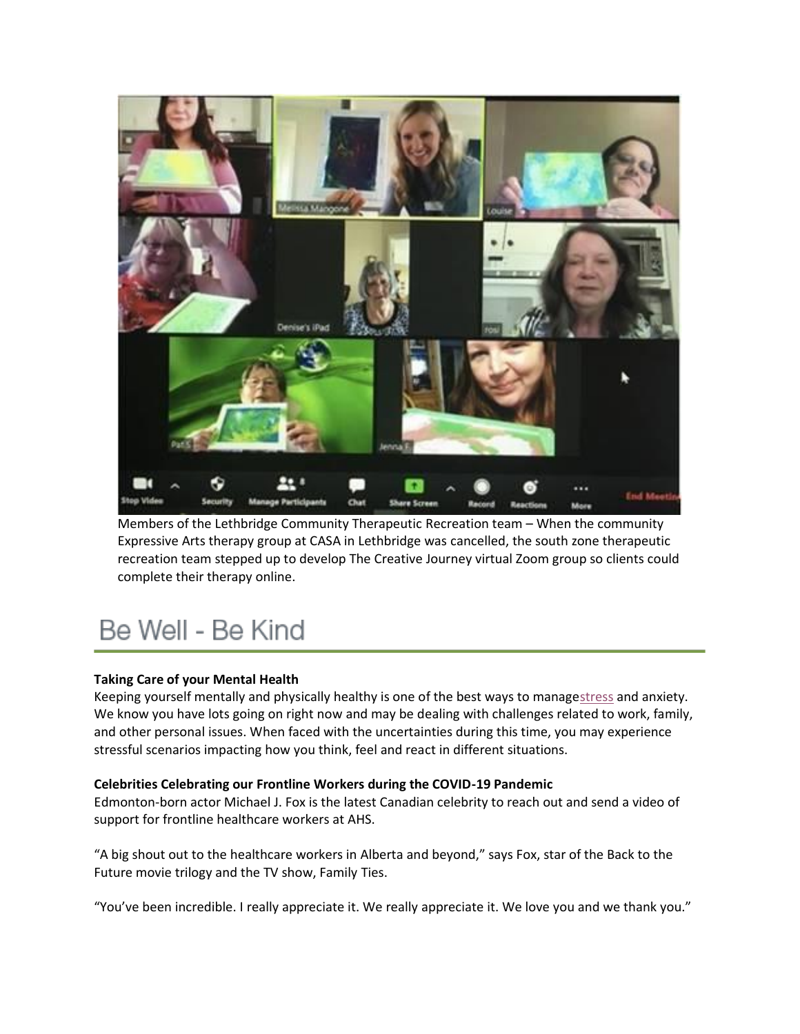

Members of the Lethbridge Community Therapeutic Recreation team – When the community Expressive Arts therapy group at CASA in Lethbridge was cancelled, the south zone therapeutic recreation team stepped up to develop The Creative Journey virtual Zoom group so clients could complete their therapy online.

# Be Well - Be Kind

# **Taking Care of your Mental Health**

Keeping yourself mentally and physically healthy is one of the best ways to manag[estress](https://insite.albertahealthservices.ca/main/assets/hr/tms-hr-whs-wellness-stress-orientation.pdf) and anxiety. We know you have lots going on right now and may be dealing with challenges related to work, family, and other personal issues. When faced with the uncertainties during this time, you may experience stressful scenarios impacting how you think, feel and react in different situations.

# **Celebrities Celebrating our Frontline Workers during the COVID-19 Pandemic**

Edmonton-born actor Michael J. Fox is the latest Canadian celebrity to reach out and send a video of support for frontline healthcare workers at AHS.

"A big shout out to the healthcare workers in Alberta and beyond," says Fox, star of the Back to the Future movie trilogy and the TV show, Family Ties.

"You've been incredible. I really appreciate it. We really appreciate it. We love you and we thank you."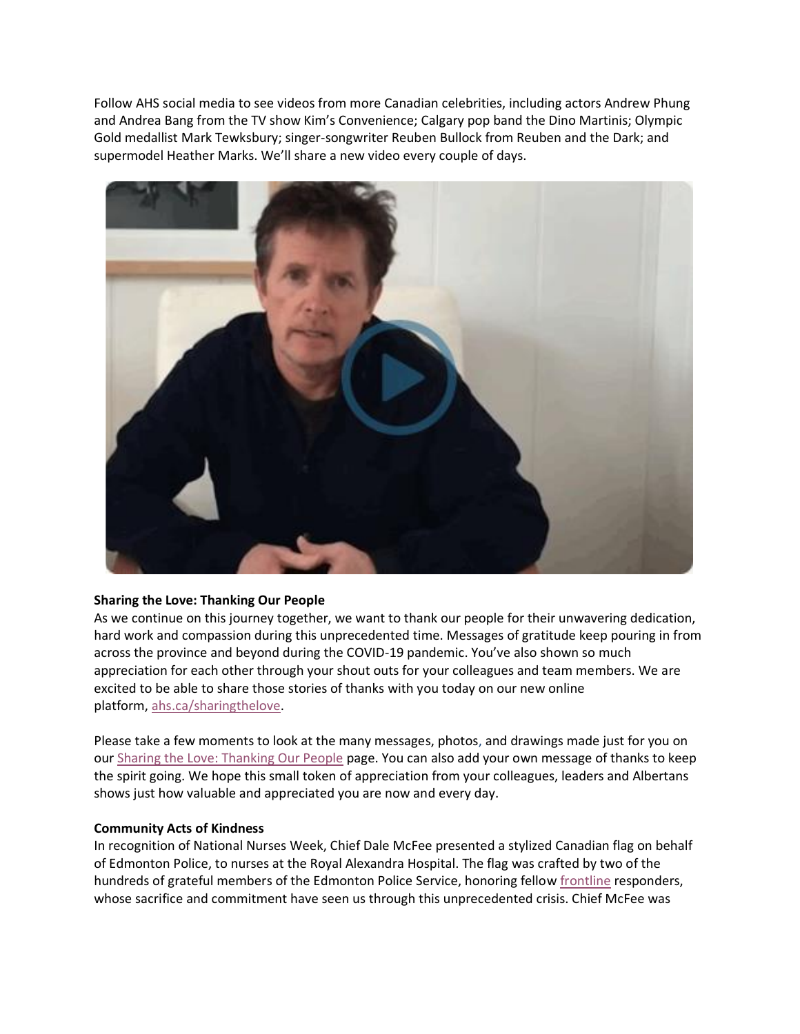Follow AHS social media to see videos from more Canadian celebrities, including actors Andrew Phung and Andrea Bang from the TV show Kim's Convenience; Calgary pop band the Dino Martinis; Olympic Gold medallist Mark Tewksbury; singer-songwriter Reuben Bullock from Reuben and the Dark; and supermodel Heather Marks. We'll share a new video every couple of days.



# **Sharing the Love: Thanking Our People**

As we continue on this journey together, we want to thank our people for their unwavering dedication, hard work and compassion during this unprecedented time. Messages of gratitude keep pouring in from across the province and beyond during the COVID-19 pandemic. You've also shown so much appreciation for each other through your shout outs for your colleagues and team members. We are excited to be able to share those stories of thanks with you today on our new online platform, [ahs.ca/sharingthelove.](https://www.albertahealthservices.ca/about/page13797.aspx)

Please take a few moments to look at the many messages, photos, and drawings made just for you on our [Sharing the Love: Thanking Our People](https://www.albertahealthservices.ca/about/page13797.aspx) page. You can also add your own message of thanks to keep the spirit going. We hope this small token of appreciation from your colleagues, leaders and Albertans shows just how valuable and appreciated you are now and every day.

#### **Community Acts of Kindness**

In recognition of National Nurses Week, Chief Dale McFee presented a stylized Canadian flag on behalf of Edmonton Police, to nurses at the Royal Alexandra Hospital. The flag was crafted by two of the hundreds of grateful members of the Edmonton Police Service, honoring fellow [frontline](https://twitter.com/hashtag/frontline?src=hashtag_click) responders, whose sacrifice and commitment have seen us through this unprecedented crisis. Chief McFee was